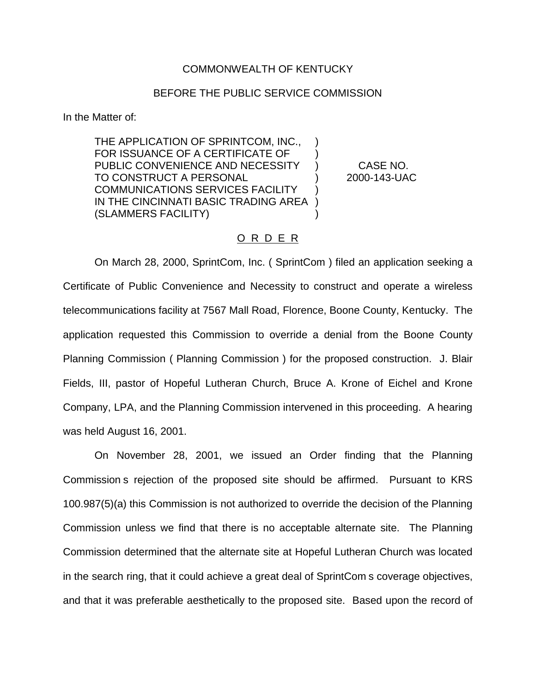## COMMONWEALTH OF KENTUCKY

## BEFORE THE PUBLIC SERVICE COMMISSION

In the Matter of:

THE APPLICATION OF SPRINTCOM, INC., FOR ISSUANCE OF A CERTIFICATE OF PUBLIC CONVENIENCE AND NECESSITY ) CASE NO. TO CONSTRUCT A PERSONAL ) 2000-143-UAC COMMUNICATIONS SERVICES FACILITY ) IN THE CINCINNATI BASIC TRADING AREA ) (SLAMMERS FACILITY) )

## O R D E R

On March 28, 2000, SprintCom, Inc. ( SprintCom ) filed an application seeking a Certificate of Public Convenience and Necessity to construct and operate a wireless telecommunications facility at 7567 Mall Road, Florence, Boone County, Kentucky. The application requested this Commission to override a denial from the Boone County Planning Commission ( Planning Commission ) for the proposed construction. J. Blair Fields, III, pastor of Hopeful Lutheran Church, Bruce A. Krone of Eichel and Krone Company, LPA, and the Planning Commission intervened in this proceeding. A hearing was held August 16, 2001.

On November 28, 2001, we issued an Order finding that the Planning Commission s rejection of the proposed site should be affirmed. Pursuant to KRS 100.987(5)(a) this Commission is not authorized to override the decision of the Planning Commission unless we find that there is no acceptable alternate site. The Planning Commission determined that the alternate site at Hopeful Lutheran Church was located in the search ring, that it could achieve a great deal of SprintCom s coverage objectives, and that it was preferable aesthetically to the proposed site. Based upon the record of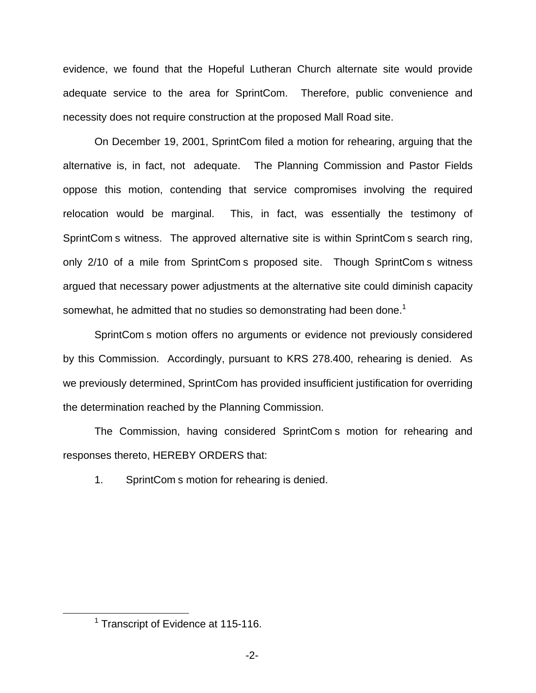evidence, we found that the Hopeful Lutheran Church alternate site would provide adequate service to the area for SprintCom. Therefore, public convenience and necessity does not require construction at the proposed Mall Road site.

On December 19, 2001, SprintCom filed a motion for rehearing, arguing that the alternative is, in fact, not adequate. The Planning Commission and Pastor Fields oppose this motion, contending that service compromises involving the required relocation would be marginal. This, in fact, was essentially the testimony of SprintCom s witness. The approved alternative site is within SprintCom s search ring, only 2/10 of a mile from SprintCom s proposed site. Though SprintCom s witness argued that necessary power adjustments at the alternative site could diminish capacity somewhat, he admitted that no studies so demonstrating had been done.<sup>1</sup>

SprintCom s motion offers no arguments or evidence not previously considered by this Commission. Accordingly, pursuant to KRS 278.400, rehearing is denied. As we previously determined, SprintCom has provided insufficient justification for overriding the determination reached by the Planning Commission.

The Commission, having considered SprintCom s motion for rehearing and responses thereto, HEREBY ORDERS that:

1. SprintCom s motion for rehearing is denied.

<sup>&</sup>lt;sup>1</sup> Transcript of Evidence at 115-116.